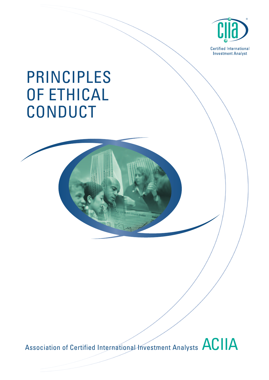

# PRINCIPLES OF ETHICAL CONDUCT

Association of Certified International Investment Analysts ACIIA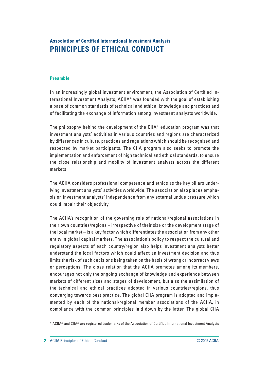# **Association of Certified International Investment Analysts PRINCIPLES OF ETHICAL CONDUCT**

#### **Preamble**

In an increasingly global investment environment, the Association of Certified International Investment Analysts, ACIIA\* was founded with the goal of establishing a base of common standards of technical and ethical knowledge and practices and of facilitating the exchange of information among investment analysts worldwide.

The philosophy behind the development of the CIIA\* education program was that investment analysts' activities in various countries and regions are characterized by differences in culture, practices and regulations which should be recognized and respected by market participants. The CIIA program also seeks to promote the implementation and enforcement of high technical and ethical standards, to ensure the close relationship and mobility of investment analysts across the different markets.

The ACIIA considers professional competence and ethics as the key pillars underlying investment analysts' activities worldwide. The association also places emphasis on investment analysts' independence from any external undue pressure which could impair their objectivity.

The ACIIA's recognition of the governing role of national/regional associations in their own countries/regions – irrespective of their size or the development stage of the local market – is a key factor which differentiates the association from any other entity in global capital markets. The association's policy to respect the cultural and regulatory aspects of each country/region also helps investment analysts better understand the local factors which could affect an investment decision and thus limits the risk of such decisions being taken on the basis of wrong or incorrect views or perceptions. The close relation that the ACIIA promotes among its members, encourages not only the ongoing exchange of knowledge and experience between markets of different sizes and stages of development, but also the assimilation of the technical and ethical practices adopted in various countries/regions, thus converging towards best practice. The global CIIA program is adopted and implemented by each of the national/regional member associations of the ACIIA, in compliance with the common principles laid down by the latter. The global CIIA

<sup>\*</sup> ACIIA® and CIIA® are registered trademarks of the Association of Certified International Investment Analysts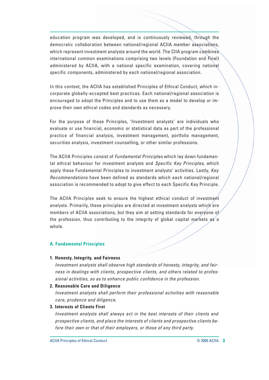education program was developed, and is continuously reviewed, through the democratic collaboration between national/regional ACIIA member associations, which represent investment analysts around the world. The CIIA program combines international common examinations comprising two levels (Foundation and Final) administered by ACIIA, with a national specific examination, covering national specific components, administered by each national/regional association.

In this context, the ACIIA has established Principles of Ethical Conduct, which incorporate globally-accepted best practices. Each national/regional association is encouraged to adopt the Principles and to use them as a model to develop or improve their own ethical codes and standards as necessary.

For the purpose of these Principles, 'Investment analysts' are individuals who evaluate or use financial, economic or statistical data as part of the professional practice of financial analysis, investment management, portfolio management, securities analysis, investment counselling, or other similar professions.

The ACIIA Principles consist of Fundamental Principles which lay down fundamental ethical behaviour for investment analysts and Specific Key Principles, which apply these Fundamental Principles to investment analysts' activities. Lastly, Key Recommendations have been defined as standards which each national/regional association is recommended to adopt to give effect to each Specific Key Principle.

The ACIIA Principles seek to ensure the highest ethical conduct of investment analysts. Primarily, these principles are directed at investment analysts which are members of ACIIA associations, but they aim at setting standards for everyone of the profession, thus contributing to the integrity of global capital markets as a whole.

# **A. Fundamental Principles**

# **1. Honesty, Integrity, and Fairness**

Investment analysts shall observe high standards of honesty, integrity, and fairness in dealings with clients, prospective clients, and others related to professional activities, so as to enhance public confidence in the profession.

**2. Reasonable Care and Diligence**

Investment analysts shall perform their professional activities with reasonable care, prudence and diligence.

**3. Interests of Clients First**

Investment analysts shall always act in the best interests of their clients and prospective clients, and place the interests of clients and prospective clients before their own or that of their employers, or those of any third party.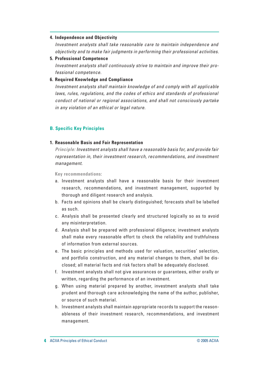#### **4. Independence and Objectivity**

Investment analysts shall take reasonable care to maintain independence and objectivity and to make fair judgments in performing their professional activities.

#### **5. Professional Competence**

Investment analysts shall continuously strive to maintain and improve their professional competence.

#### **6. Required Knowledge and Compliance**

Investment analysts shall maintain knowledge of and comply with all applicable laws, rules, regulations, and the codes of ethics and standards of professional conduct of national or regional associations, and shall not consciously partake in any violation of an ethical or legal nature.

# **B. Specific Key Principles**

#### **1. Reasonable Basis and Fair Representation**

**Principle:** Investment analysts shall have a reasonable basis for, and provide fair representation in, their investment research, recommendations, and investment management.

**Key recommendations:**

- a. Investment analysts shall have a reasonable basis for their investment research, recommendations, and investment management, supported by thorough and diligent research and analysis.
- b. Facts and opinions shall be clearly distinguished; forecasts shall be labelled as such.
- c. Analysis shall be presented clearly and structured logically so as to avoid any misinterpretation.
- d. Analysis shall be prepared with professional diligence; investment analysts shall make every reasonable effort to check the reliability and truthfulness of information from external sources.
- e. The basic principles and methods used for valuation, securities' selection, and portfolio construction, and any material changes to them, shall be disclosed; all material facts and risk factors shall be adequately disclosed.
- f. Investment analysts shall not give assurances or guarantees, either orally or written, regarding the performance of an investment.
- g. When using material prepared by another, investment analysts shall take prudent and thorough care acknowledging the name of the author, publisher, or source of such material.
- h. Investment analysts shall maintain appropriate records to support the reasonableness of their investment research, recommendations, and investment management.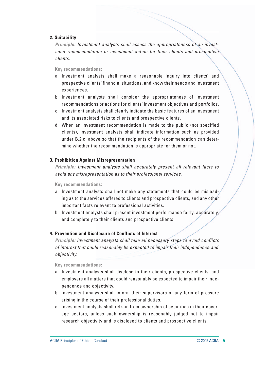#### **2. Suitability**

**Principle:** Investment analysts shall assess the appropriateness of an investment recommendation or investment action for their clients and prospective clients.

#### **Key recommendations:**

- a. Investment analysts shall make a reasonable inquiry into clients' and prospective clients' financial situations, and know their needs and investment experiences.
- b. Investment analysts shall consider the appropriateness of investment recommendations or actions for clients' investment objectives and portfolios.
- c. Investment analysts shall clearly indicate the basic features of an investment and its associated risks to clients and prospective clients.
- d. When an investment recommendation is made to the public (not specified clients), investment analysts shall indicate information such as provided under B.2.c. above so that the recipients of the recommendation can determine whether the recommendation is appropriate for them or not.

#### **3. Prohibition Against Misrepresentation**

**Principle:** Investment analysts shall accurately present all relevant facts to avoid any misrepresentation as to their professional services.

**Key recommendations:**

- a. Investment analysts shall not make any statements that could be misleading as to the services offered to clients and prospective clients, and any other important facts relevant to professional activities.
- b. Investment analysts shall present investment performance fairly, accurately, and completely to their clients and prospective clients.

#### **4. Prevention and Disclosure of Conflicts of Interest**

**Principle:** Investment analysts shall take all necessary steps to avoid conflicts of interest that could reasonably be expected to impair their independence and objectivity.

**Key recommendations:**

- a. Investment analysts shall disclose to their clients, prospective clients, and employers all matters that could reasonably be expected to impair their independence and objectivity.
- b. Investment analysts shall inform their supervisors of any form of pressure arising in the course of their professional duties.
- c. Investment analysts shall refrain from ownership of securities in their coverage sectors, unless such ownership is reasonably judged not to impair research objectivity and is disclosed to clients and prospective clients.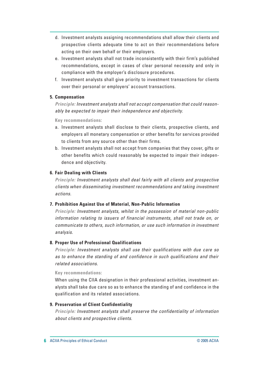- d. Investment analysts assigning recommendations shall allow their clients and prospective clients adequate time to act on their recommendations before acting on their own behalf or their employers.
- e. Investment analysts shall not trade inconsistently with their firm's published recommendations, except in cases of clear personal necessity and only in compliance with the employer's disclosure procedures.
- f. Investment analysts shall give priority to investment transactions for clients over their personal or employers' account transactions.

# **5. Compensation**

**Principle:** Investment analysts shall not accept compensation that could reasonably be expected to impair their independence and objectivity.

**Key recommendations:**

- a. Investment analysts shall disclose to their clients, prospective clients, and employers all monetary compensation or other benefits for services provided to clients from any source other than their firms.
- b. Investment analysts shall not accept from companies that they cover, gifts or other benefits which could reasonably be expected to impair their independence and objectivity.

# **6. Fair Dealing with Clients**

**Principle:** Investment analysts shall deal fairly with all clients and prospective clients when disseminating investment recommendations and taking investment actions.

# **7. Prohibition Against Use of Material, Non-Public Information**

**Principle:** Investment analysts, whilst in the possession of material non-public information relating to issuers of financial instruments, shall not trade on, or communicate to others, such information, or use such information in investment analysis.

# **8. Proper Use of Professional Qualifications**

**Principle:** Investment analysts shall use their qualifications with due care so as to enhance the standing of and confidence in such qualifications and their related associations.

# **Key recommendations:**

When using the CIIA designation in their professional activities, investment analysts shall take due care so as to enhance the standing of and confidence in the qualification and its related associations.

# **9. Preservation of Client Confidentiality**

**Principle:** Investment analysts shall preserve the confidentiality of information about clients and prospective clients.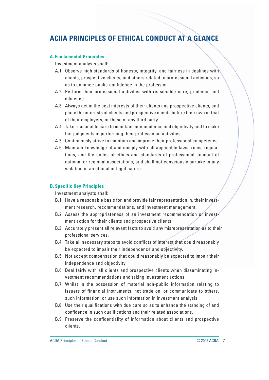# **ACIIA PRINCIPLES OF ETHICAL CONDUCT AT A GLANCE**

# **A. Fundamental Principles**

Investment analysts shall:

- A.1 Observe high standards of honesty, integrity, and fairness in dealings with clients, prospective clients, and others related to professional activities, so as to enhance public confidence in the profession.
- A.2 Perform their professional activities with reasonable care, prudence and diligence.
- A.3 Always act in the best interests of their clients and prospective clients, and place the interests of clients and prospective clients before their own or that of their employers, or those of any third party.
- A.4 Take reasonable care to maintain independence and objectivity and to make fair judgments in performing their professional activities.
- A.5 Continuously strive to maintain and improve their professional competence.
- A.6 Maintain knowledge of and comply with all applicable laws, rules, regulations, and the codes of ethics and standards of professional conduct of national or regional associations, and shall not consciously partake in any violation of an ethical or legal nature.

# **B. Specific Key Principles**

Investment analysts shall:

- B.1 Have a reasonable basis for, and provide fair representation in, their investment research, recommendations, and investment management.
- B.2 Assess the appropriateness of an investment recommendation or investment action for their clients and prospective clients.
- B.3 Accurately present all relevant facts to avoid any misrepresentation as to their professional services.
- B.4 Take all necessary steps to avoid conflicts of interest that could reasonably be expected to impair their independence and objectivity.
- B.5 Not accept compensation that could reasonably be expected to impair their independence and objectivity.
- B.6 Deal fairly with all clients and prospective clients when disseminating investment recommendations and taking investment actions.
- B.7 Whilst in the possession of material non-public information relating to issuers of financial instruments, not trade on, or communicate to others, such information, or use such information in investment analysis.
- B.8 Use their qualifications with due care so as to enhance the standing of and confidence in such qualifications and their related associations.
- B.9 Preserve the confidentiality of information about clients and prospective clients.